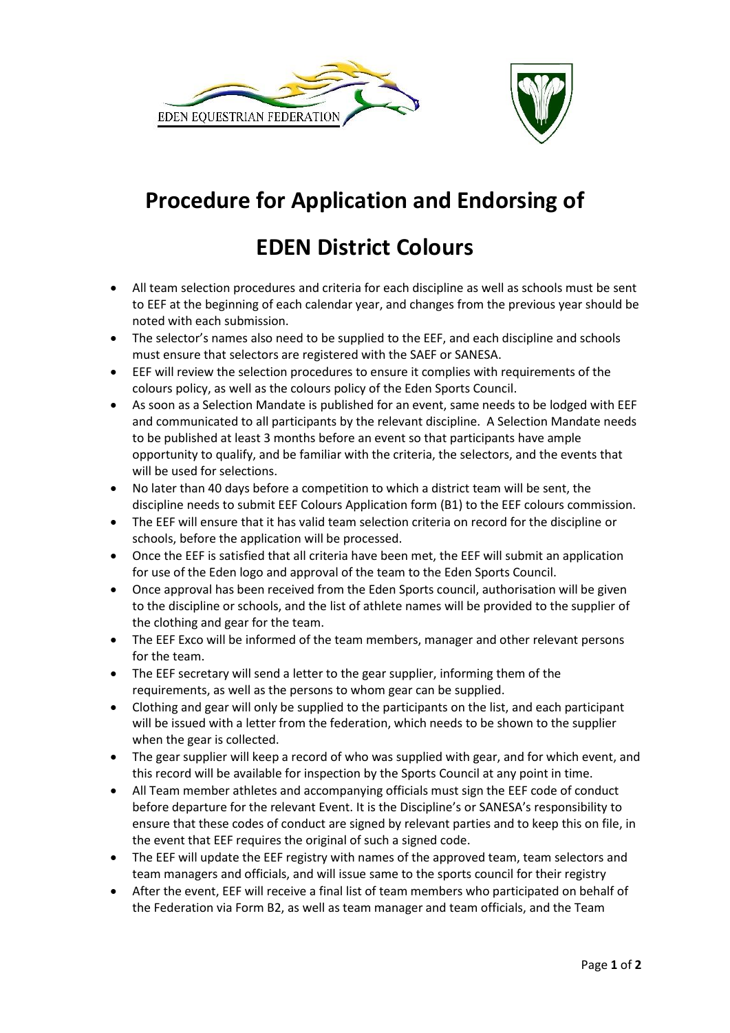



## **Procedure for Application and Endorsing of**

## **EDEN District Colours**

- All team selection procedures and criteria for each discipline as well as schools must be sent to EEF at the beginning of each calendar year, and changes from the previous year should be noted with each submission.
- The selector's names also need to be supplied to the EEF, and each discipline and schools must ensure that selectors are registered with the SAEF or SANESA.
- EEF will review the selection procedures to ensure it complies with requirements of the colours policy, as well as the colours policy of the Eden Sports Council.
- As soon as a Selection Mandate is published for an event, same needs to be lodged with EEF and communicated to all participants by the relevant discipline. A Selection Mandate needs to be published at least 3 months before an event so that participants have ample opportunity to qualify, and be familiar with the criteria, the selectors, and the events that will be used for selections.
- No later than 40 days before a competition to which a district team will be sent, the discipline needs to submit EEF Colours Application form (B1) to the EEF colours commission.
- The EEF will ensure that it has valid team selection criteria on record for the discipline or schools, before the application will be processed.
- Once the EEF is satisfied that all criteria have been met, the EEF will submit an application for use of the Eden logo and approval of the team to the Eden Sports Council.
- Once approval has been received from the Eden Sports council, authorisation will be given to the discipline or schools, and the list of athlete names will be provided to the supplier of the clothing and gear for the team.
- The EEF Exco will be informed of the team members, manager and other relevant persons for the team.
- The EEF secretary will send a letter to the gear supplier, informing them of the requirements, as well as the persons to whom gear can be supplied.
- Clothing and gear will only be supplied to the participants on the list, and each participant will be issued with a letter from the federation, which needs to be shown to the supplier when the gear is collected.
- The gear supplier will keep a record of who was supplied with gear, and for which event, and this record will be available for inspection by the Sports Council at any point in time.
- All Team member athletes and accompanying officials must sign the EEF code of conduct before departure for the relevant Event. It is the Discipline's or SANESA's responsibility to ensure that these codes of conduct are signed by relevant parties and to keep this on file, in the event that EEF requires the original of such a signed code.
- The EEF will update the EEF registry with names of the approved team, team selectors and team managers and officials, and will issue same to the sports council for their registry
- After the event, EEF will receive a final list of team members who participated on behalf of the Federation via Form B2, as well as team manager and team officials, and the Team